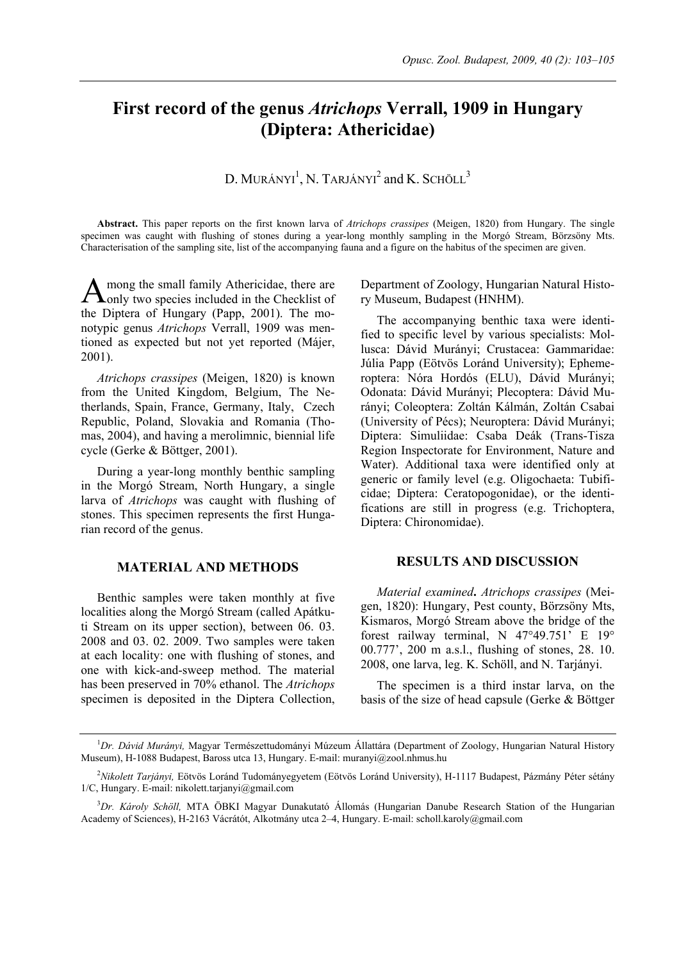## **First record of the genus** *Atrichops* **Verrall, 1909 in Hungary (Diptera: Athericidae)**

D. MURÁNYI $^{\rm l}$ , N. Tarjányi $^{\rm 2}$  and K. Schöll $^{\rm 3}$ 

**Abstract.** This paper reports on the first known larva of *Atrichops crassipes* (Meigen, 1820) from Hungary. The single specimen was caught with flushing of stones during a year-long monthly sampling in the Morgó Stream, Börzsöny Mts. Characterisation of the sampling site, list of the accompanying fauna and a figure on the habitus of the specimen are given.

mong the small family Athericidae, there are A mong the small family Athericidae, there are<br>
only two species included in the Checklist of the Diptera of Hungary (Papp, 2001). The monotypic genus *Atrichops* Verrall, 1909 was mentioned as expected but not yet reported (Májer, 2001).

*Atrichops crassipes* (Meigen, 1820) is known from the United Kingdom, Belgium, The Netherlands, Spain, France, Germany, Italy, Czech Republic, Poland, Slovakia and Romania (Thomas, 2004), and having a merolimnic, biennial life cycle (Gerke & Böttger, 2001).

During a year-long monthly benthic sampling in the Morgó Stream, North Hungary, a single larva of *Atrichops* was caught with flushing of stones. This specimen represents the first Hungarian record of the genus.

## **MATERIAL AND METHODS**

Benthic samples were taken monthly at five localities along the Morgó Stream (called Apátkuti Stream on its upper section), between 06. 03. 2008 and 03. 02. 2009. Two samples were taken at each locality: one with flushing of stones, and one with kick-and-sweep method. The material has been preserved in 70% ethanol. The *Atrichops*  specimen is deposited in the Diptera Collection,

Department of Zoology, Hungarian Natural History Museum, Budapest (HNHM).

The accompanying benthic taxa were identified to specific level by various specialists: Mollusca: Dávid Murányi; Crustacea: Gammaridae: Júlia Papp (Eötvös Loránd University); Ephemeroptera: Nóra Hordós (ELU), Dávid Murányi; Odonata: Dávid Murányi; Plecoptera: Dávid Murányi; Coleoptera: Zoltán Kálmán, Zoltán Csabai (University of Pécs); Neuroptera: Dávid Murányi; Diptera: Simuliidae: Csaba Deák (Trans-Tisza Region Inspectorate for Environment, Nature and Water). Additional taxa were identified only at generic or family level (e.g. Oligochaeta: Tubificidae; Diptera: Ceratopogonidae), or the identifications are still in progress (e.g. Trichoptera, Diptera: Chironomidae).

## **RESULTS AND DISCUSSION**

*Material examined***.** *Atrichops crassipes* (Meigen, 1820): Hungary, Pest county, Börzsöny Mts, Kismaros, Morgó Stream above the bridge of the forest railway terminal, N 47°49.751' E 19° 00.777', 200 m a.s.l., flushing of stones, 28. 10. 2008, one larva, leg. K. Schöll, and N. Tarjányi.

The specimen is a third instar larva, on the basis of the size of head capsule (Gerke & Böttger

<sup>1</sup> *Dr. Dávid Murányi,* Magyar Természettudományi Múzeum Állattára (Department of Zoology, Hungarian Natural History Museum), H-1088 Budapest, Baross utca 13, Hungary. E-mail: muranyi@zool.nhmus.hu

<sup>2</sup> *Nikolett Tarjányi,* Eötvös Loránd Tudományegyetem (Eötvös Loránd University), H-1117 Budapest, Pázmány Péter sétány 1/C, Hungary. E-mail: nikolett.tarjanyi@gmail.com

<sup>3</sup> *Dr. Károly Schöll,* MTA ÖBKI Magyar Dunakutató Állomás (Hungarian Danube Research Station of the Hungarian Academy of Sciences), H-2163 Vácrátót, Alkotmány utca 2–4, Hungary. E-mail: scholl.karoly@gmail.com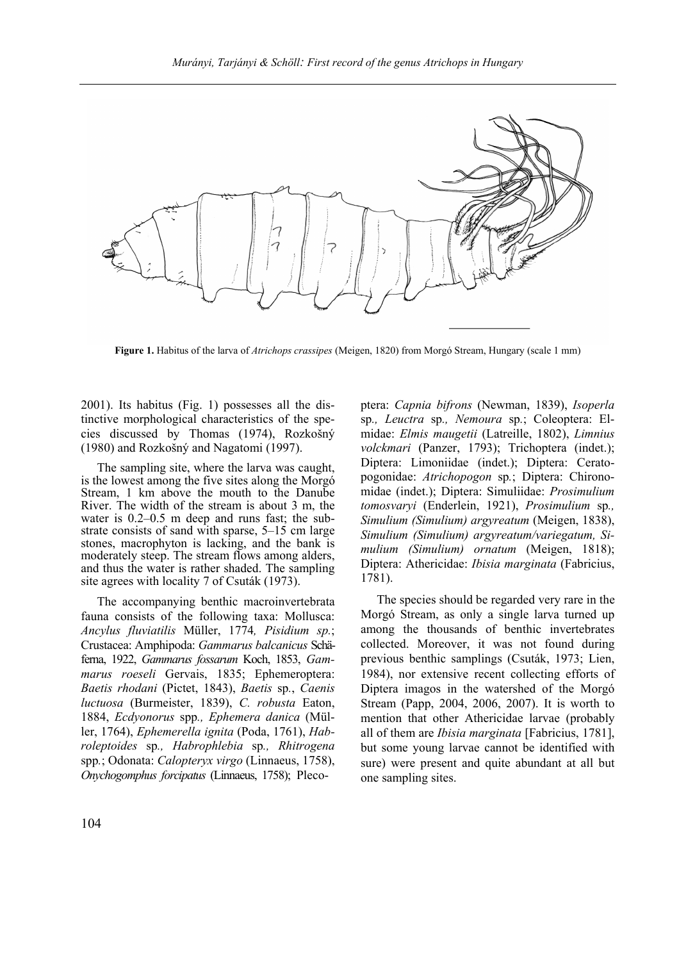

**Figure 1.** Habitus of the larva of *Atrichops crassipes* (Meigen, 1820) from Morgó Stream, Hungary (scale 1 mm)

2001). Its habitus (Fig. 1) possesses all the distinctive morphological characteristics of the species discussed by Thomas (1974), Rozkošný (1980) and Rozkošný and Nagatomi (1997).

The sampling site, where the larva was caught, is the lowest among the five sites along the Morgó Stream, 1 km above the mouth to the Danube River. The width of the stream is about 3 m, the water is 0.2–0.5 m deep and runs fast; the substrate consists of sand with sparse, 5–15 cm large stones, macrophyton is lacking, and the bank is moderately steep. The stream flows among alders, and thus the water is rather shaded. The sampling site agrees with locality 7 of Csuták (1973).

The accompanying benthic macroinvertebrata fauna consists of the following taxa: Mollusca: *Ancylus fluviatilis* Müller, 1774*, Pisidium sp.*; Crustacea: Amphipoda: *Gammarus balcanicus* Schäferna, 1922, *Gammarus fossarum* Koch, 1853, *Gammarus roeseli* Gervais, 1835; Ephemeroptera: *Baetis rhodani* (Pictet, 1843), *Baetis* sp*.*, *Caenis luctuosa* (Burmeister, 1839), *C. robusta* Eaton, 1884, *Ecdyonorus* spp*., Ephemera danica* (Müller, 1764), *Ephemerella ignita* (Poda, 1761), *Habroleptoides* sp*., Habrophlebia* sp*., Rhitrogena*  spp*.*; Odonata: *Calopteryx virgo* (Linnaeus, 1758), *Onychogomphus forcipatus* (Linnaeus, 1758); Plecoptera: *Capnia bifrons* (Newman, 1839), *Isoperla*  sp*., Leuctra* sp*., Nemoura* sp*.*; Coleoptera: Elmidae: *Elmis maugetii* (Latreille, 1802), *Limnius volckmari* (Panzer, 1793); Trichoptera (indet.); Diptera: Limoniidae (indet.); Diptera: Ceratopogonidae: *Atrichopogon* sp*.*; Diptera: Chironomidae (indet.); Diptera: Simuliidae: *Prosimulium tomosvaryi* (Enderlein, 1921), *Prosimulium* sp*., Simulium (Simulium) argyreatum* (Meigen, 1838), *Simulium (Simulium) argyreatum/variegatum, Simulium (Simulium) ornatum* (Meigen, 1818); Diptera: Athericidae: *Ibisia marginata* (Fabricius, 1781).

The species should be regarded very rare in the Morgó Stream, as only a single larva turned up among the thousands of benthic invertebrates collected. Moreover, it was not found during previous benthic samplings (Csuták, 1973; Lien, 1984), nor extensive recent collecting efforts of Diptera imagos in the watershed of the Morgó Stream (Papp, 2004, 2006, 2007). It is worth to mention that other Athericidae larvae (probably all of them are *Ibisia marginata* [Fabricius, 1781], but some young larvae cannot be identified with sure) were present and quite abundant at all but one sampling sites.